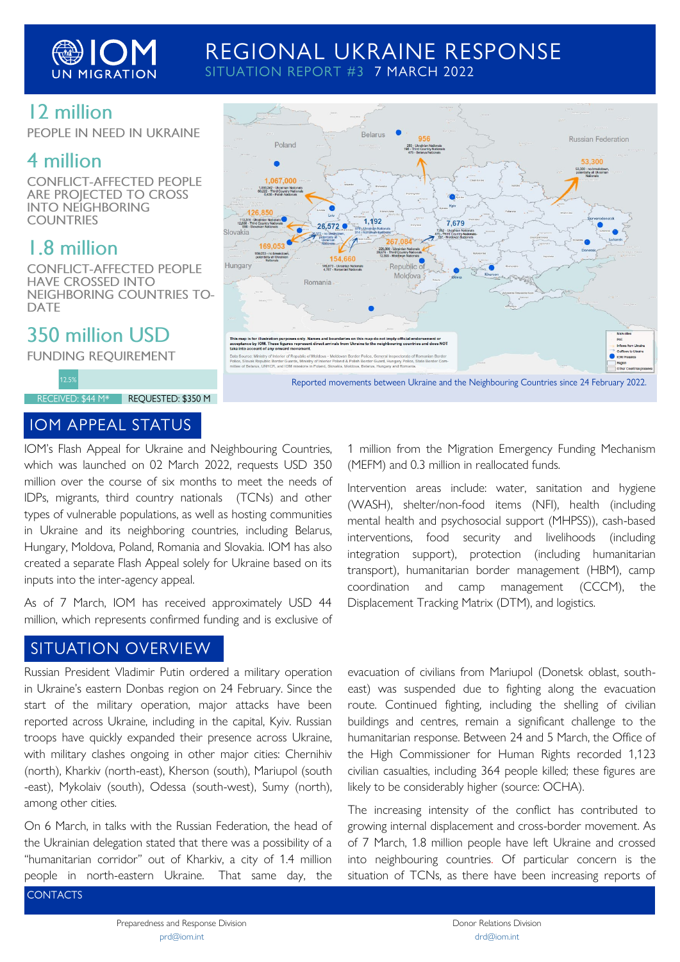

## REGIONAL UKRAINE RESPONSE SITUATION REPORT #3 7 MARCH 2022

## 12 million

PEOPLE IN NEED IN UKRAINE

# 4 million

**CONFLICT-AFFECTED PEOPLE ARE PROJECTED TO CROSS INTO NEIGHBORING COUNTRIES** 

# 1.8 million

**CONFLICT-AFFECTED PEOPLE HAVE CROSSED INTO NEIGHBORING COUNTRIES TO-DATE** 

# 350 million USD

**FUNDING REQUIREMENT** 

RECEIVED: \$44 M\* REQUESTED: \$350 M

### **IOM APPEAL STATUS**



Reported movements between Ukraine and the Neighbouring Countries since 24 February 2022.

IOM's Flash Appeal for Ukraine and Neighbouring Countries, which was launched on 02 March 2022, requests USD 350 million over the course of six months to meet the needs of IDPs, migrants, third country nationals (TCNs) and other types of vulnerable populations, as well as hosting communities in Ukraine and its neighboring countries, including Belarus, Hungary, Moldova, Poland, Romania and Slovakia. IOM has also created a separate Flash Appeal solely for Ukraine based on its inputs into the inter-agency appeal.

As of 7 March, IOM has received approximately USD 44 million, which represents confirmed funding and is exclusive of

## **SITUATION OVERVIEW**

Russian President Vladimir Putin ordered a military operation in Ukraine's eastern Donbas region on 24 February. Since the start of the military operation, major attacks have been reported across Ukraine, including in the capital, Kyiv. Russian troops have quickly expanded their presence across Ukraine, with military clashes ongoing in other major cities: Chernihiv (north), Kharkiv (north-east), Kherson (south), Mariupol (south -east), Mykolaiv (south), Odessa (south-west), Sumy (north), among other cities.

On 6 March, in talks with the Russian Federation, the head of the Ukrainian delegation stated that there was a possibility of a "humanitarian corridor" out of Kharkiv, a city of 1.4 million people in north-eastern Ukraine. That same day, the

1 million from the Migration Emergency Funding Mechanism (MEFM) and 0.3 million in reallocated funds.

Intervention areas include: water, sanitation and hygiene (WASH), shelter/non-food items (NFI), health (including mental health and psychosocial support (MHPSS)), cash-based interventions, food security and livelihoods (including integration support), protection (including humanitarian transport), humanitarian border management (HBM), camp coordination and camp management (CCCM), the Displacement Tracking Matrix (DTM), and logistics.

evacuation of civilians from Mariupol (Donetsk oblast, southeast) was suspended due to fighting along the evacuation route. Continued fighting, including the shelling of civilian buildings and centres, remain a significant challenge to the humanitarian response. Between 24 and 5 March, the Office of the High Commissioner for Human Rights recorded 1,123 civilian casualties, including 364 people killed; these figures are likely to be considerably higher (source: OCHA).

The increasing intensity of the conflict has contributed to growing internal displacement and cross-border movement. As of 7 March, 1.8 million people have left Ukraine and crossed into neighbouring countries. Of particular concern is the situation of TCNs, as there have been increasing reports of

**CONTACTS**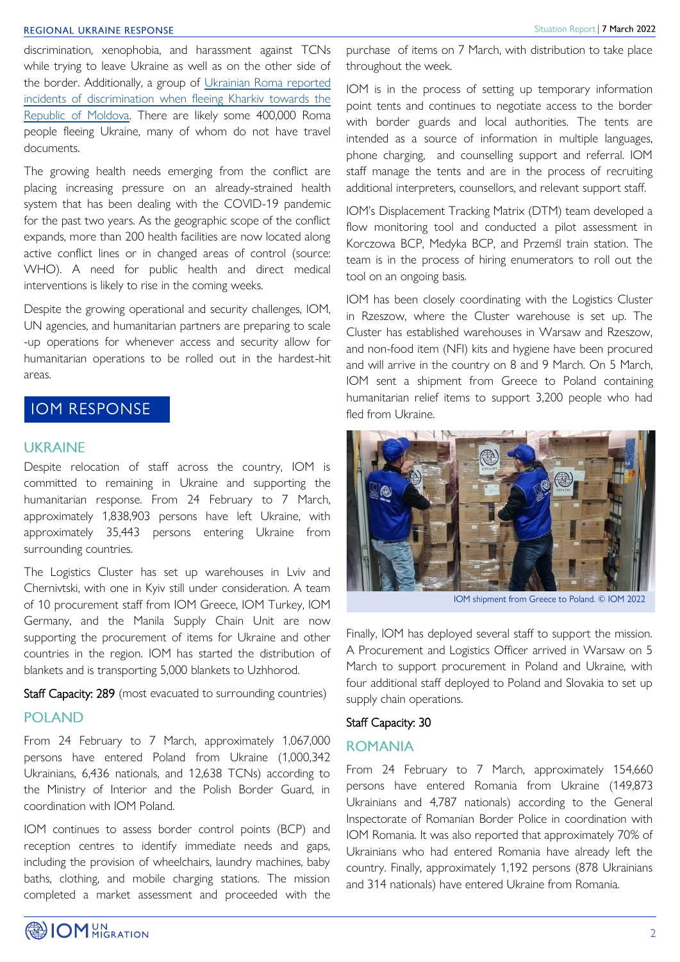#### **REGIONAL UKRAINE RESPONSE**

discrimination, xenophobia, and harassment against TCNs while trying to leave Ukraine as well as on the other side of the border. Additionally, a group of [Ukrainian Roma reported](https://www.aljazeera.com/news/2022/3/7/ukraines-roma-refugees-recount-discrimination-on-route-to-safety)  [incidents of discrimination when fleeing Kharkiv towards the](https://www.aljazeera.com/news/2022/3/7/ukraines-roma-refugees-recount-discrimination-on-route-to-safety)  [Republic of Moldova.](https://www.aljazeera.com/news/2022/3/7/ukraines-roma-refugees-recount-discrimination-on-route-to-safety) There are likely some 400,000 Roma people fleeing Ukraine, many of whom do not have travel documents.

The growing health needs emerging from the conflict are placing increasing pressure on an already-strained health system that has been dealing with the COVID-19 pandemic for the past two years. As the geographic scope of the conflict expands, more than 200 health facilities are now located along active conflict lines or in changed areas of control (source: WHO). A need for public health and direct medical interventions is likely to rise in the coming weeks.

Despite the growing operational and security challenges, IOM, UN agencies, and humanitarian partners are preparing to scale -up operations for whenever access and security allow for humanitarian operations to be rolled out in the hardest-hit areas.

## **IOM RESPONSE**

### **UKRAINE**

Despite relocation of staff across the country, IOM is committed to remaining in Ukraine and supporting the humanitarian response. From 24 February to 7 March, approximately 1,838,903 persons have left Ukraine, with approximately 35,443 persons entering Ukraine from surrounding countries.

The Logistics Cluster has set up warehouses in Lviv and Chernivtski, with one in Kyiv still under consideration. A team of 10 procurement staff from IOM Greece, IOM Turkey, IOM Germany, and the Manila Supply Chain Unit are now supporting the procurement of items for Ukraine and other countries in the region. IOM has started the distribution of blankets and is transporting 5,000 blankets to Uzhhorod.

Staff Capacity: 289 (most evacuated to surrounding countries)

#### **POLAND**

From 24 February to 7 March, approximately 1,067,000 persons have entered Poland from Ukraine (1,000,342 Ukrainians, 6,436 nationals, and 12,638 TCNs) according to the Ministry of Interior and the Polish Border Guard, in coordination with IOM Poland.

IOM continues to assess border control points (BCP) and reception centres to identify immediate needs and gaps, including the provision of wheelchairs, laundry machines, baby baths, clothing, and mobile charging stations. The mission completed a market assessment and proceeded with the IOM is in the process of setting up temporary information point tents and continues to negotiate access to the border with border guards and local authorities. The tents are intended as a source of information in multiple languages, phone charging, and counselling support and referral. IOM staff manage the tents and are in the process of recruiting additional interpreters, counsellors, and relevant support staff.

IOM's Displacement Tracking Matrix (DTM) team developed a flow monitoring tool and conducted a pilot assessment in Korczowa BCP, Medyka BCP, and Przemśl train station. The team is in the process of hiring enumerators to roll out the tool on an ongoing basis.

IOM has been closely coordinating with the Logistics Cluster in Rzeszow, where the Cluster warehouse is set up. The Cluster has established warehouses in Warsaw and Rzeszow, and non-food item (NFI) kits and hygiene have been procured and will arrive in the country on 8 and 9 March. On 5 March, IOM sent a shipment from Greece to Poland containing humanitarian relief items to support 3,200 people who had fled from Ukraine.



IOM shipment from Greece to Poland. © IOM 2022

Finally, IOM has deployed several staff to support the mission. A Procurement and Logistics Officer arrived in Warsaw on 5 March to support procurement in Poland and Ukraine, with four additional staff deployed to Poland and Slovakia to set up supply chain operations.

#### Staff Capacity: 30

### **ROMANIA**

From 24 February to 7 March, approximately 154,660 persons have entered Romania from Ukraine (149,873 Ukrainians and 4,787 nationals) according to the General Inspectorate of Romanian Border Police in coordination with IOM Romania. It was also reported that approximately 70% of Ukrainians who had entered Romania have already left the country. Finally, approximately 1,192 persons (878 Ukrainians and 314 nationals) have entered Ukraine from Romania.